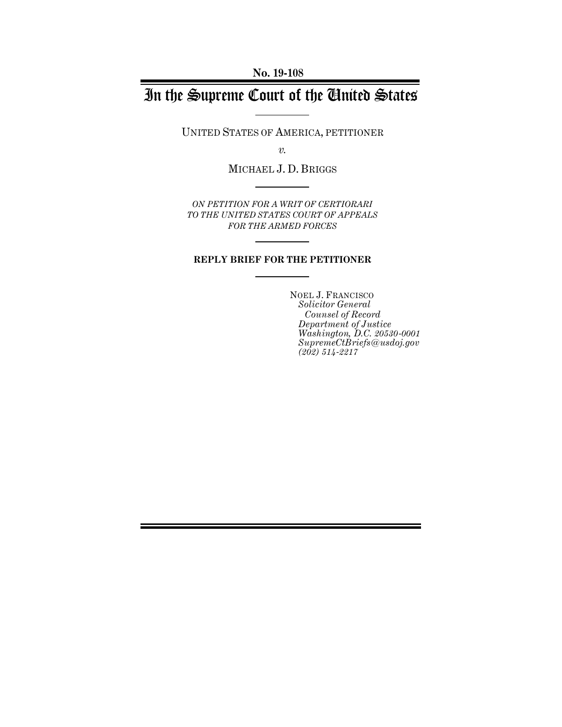# In the Supreme Court of the United States

UNITED STATES OF AMERICA, PETITIONER

*v.*

MICHAEL J. D. BRIGGS

*ON PETITION FOR A WRIT OF CERTIORARI TO THE UNITED STATES COURT OF APPEALS FOR THE ARMED FORCES*

### **REPLY BRIEF FOR THE PETITIONER**

NOEL J. FRANCISCO *Solicitor General Counsel of Record Department of Justice Washington, D.C. 20530-0001 SupremeCtBriefs@usdoj.gov (202) 514-2217*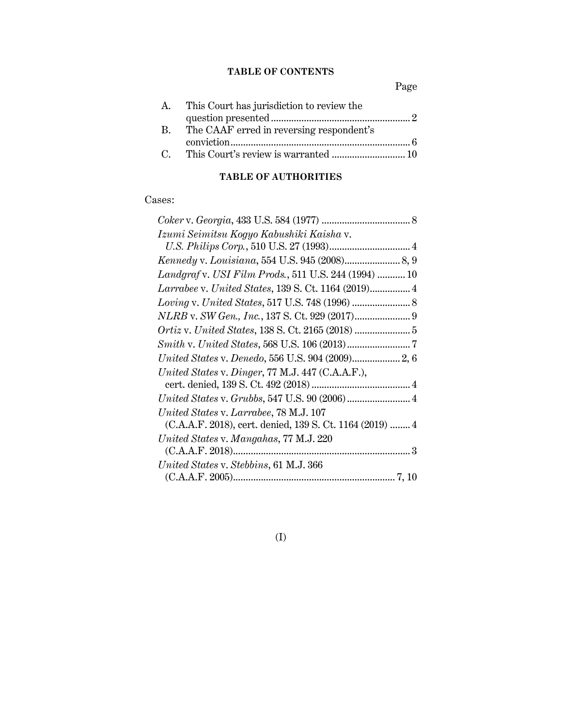## **TABLE OF CONTENTS**

Page

|              | A. This Court has jurisdiction to review the |  |
|--------------|----------------------------------------------|--|
|              |                                              |  |
| $\mathbf{R}$ | The CAAF erred in reversing respondent's     |  |
|              |                                              |  |
|              |                                              |  |

## **TABLE OF AUTHORITIES**

## Cases:

| Izumi Seimitsu Kogyo Kabushiki Kaisha v.                 |  |
|----------------------------------------------------------|--|
|                                                          |  |
|                                                          |  |
| Landgraf v. USI Film Prods., 511 U.S. 244 (1994)  10     |  |
| Larrabee v. United States, 139 S. Ct. 1164 (2019) 4      |  |
|                                                          |  |
|                                                          |  |
|                                                          |  |
|                                                          |  |
| United States v. Denedo, 556 U.S. 904 (2009) 2, 6        |  |
| United States v. Dinger, 77 M.J. 447 (C.A.A.F.),         |  |
|                                                          |  |
| United States v. Grubbs, 547 U.S. 90 (2006)  4           |  |
| United States v. Larrabee, 78 M.J. 107                   |  |
| (C.A.A.F. 2018), cert. denied, 139 S. Ct. 1164 (2019)  4 |  |
| United States v. Mangahas, 77 M.J. 220                   |  |
|                                                          |  |
| United States v. Stebbins, 61 M.J. 366                   |  |
|                                                          |  |

(I)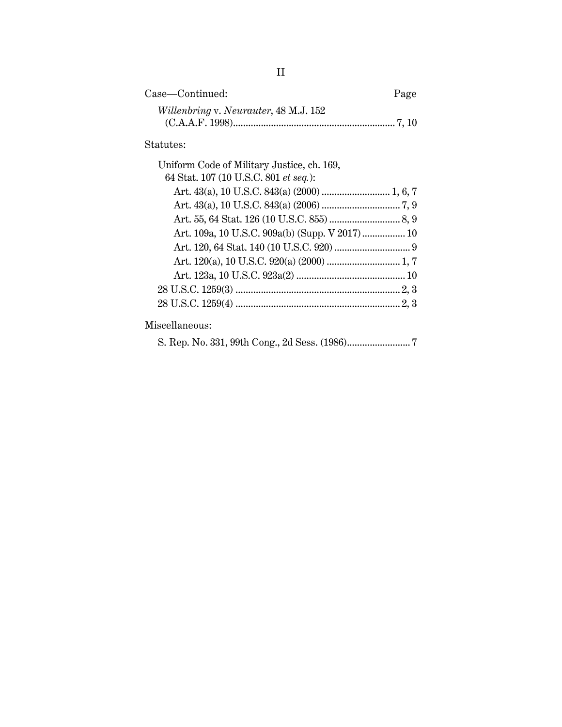| Case—Continued:                       | Page |
|---------------------------------------|------|
| Willenbring v. Neurauter, 48 M.J. 152 |      |
|                                       |      |

## Statutes:

| Uniform Code of Military Justice, ch. 169, |  |
|--------------------------------------------|--|
| 64 Stat. 107 (10 U.S.C. 801 et seq.):      |  |
|                                            |  |
|                                            |  |
|                                            |  |
|                                            |  |
|                                            |  |
|                                            |  |
|                                            |  |
|                                            |  |
|                                            |  |
|                                            |  |

Miscellaneous:

|--|--|--|--|--|--|--|--|--|--|--|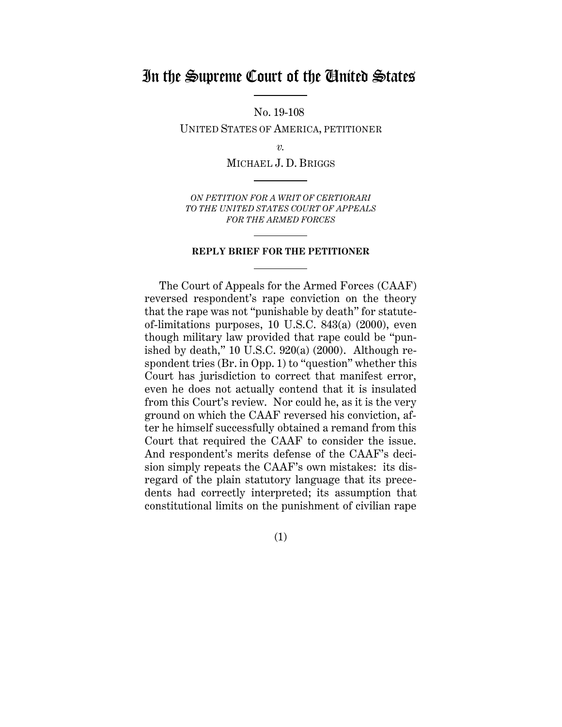## In the Supreme Court of the United States

No. 19-108

UNITED STATES OF AMERICA, PETITIONER

*v.*

MICHAEL J. D. BRIGGS

*ON PETITION FOR A WRIT OF CERTIORARI TO THE UNITED STATES COURT OF APPEALS FOR THE ARMED FORCES*

#### **REPLY BRIEF FOR THE PETITIONER**

The Court of Appeals for the Armed Forces (CAAF) reversed respondent's rape conviction on the theory that the rape was not "punishable by death" for statuteof-limitations purposes, 10 U.S.C. 843(a) (2000), even though military law provided that rape could be "punished by death," 10 U.S.C.  $920(a)$  (2000). Although respondent tries (Br. in Opp. 1) to "question" whether this Court has jurisdiction to correct that manifest error, even he does not actually contend that it is insulated from this Court's review. Nor could he, as it is the very ground on which the CAAF reversed his conviction, after he himself successfully obtained a remand from this Court that required the CAAF to consider the issue. And respondent's merits defense of the CAAF's decision simply repeats the CAAF's own mistakes: its disregard of the plain statutory language that its precedents had correctly interpreted; its assumption that constitutional limits on the punishment of civilian rape

(1)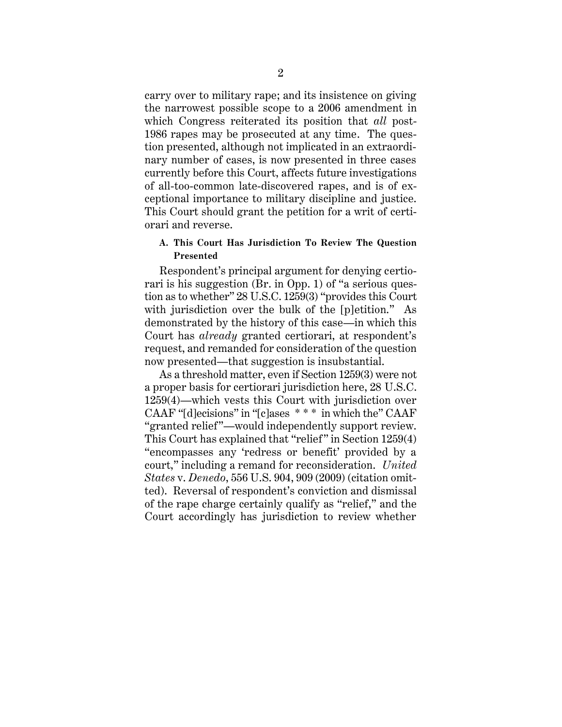carry over to military rape; and its insistence on giving the narrowest possible scope to a 2006 amendment in which Congress reiterated its position that *all* post-1986 rapes may be prosecuted at any time. The question presented, although not implicated in an extraordinary number of cases, is now presented in three cases currently before this Court, affects future investigations of all-too-common late-discovered rapes, and is of exceptional importance to military discipline and justice. This Court should grant the petition for a writ of certiorari and reverse.

### **A. This Court Has Jurisdiction To Review The Question Presented**

Respondent's principal argument for denying certiorari is his suggestion (Br. in Opp. 1) of "a serious question as to whether" 28 U.S.C. 1259(3) "provides this Court with jurisdiction over the bulk of the [p]etition." As demonstrated by the history of this case—in which this Court has *already* granted certiorari, at respondent's request, and remanded for consideration of the question now presented—that suggestion is insubstantial.

As a threshold matter, even if Section 1259(3) were not a proper basis for certiorari jurisdiction here, 28 U.S.C. 1259(4)—which vests this Court with jurisdiction over CAAF "[d]ecisions" in "[c]ases \* \* \* in which the" CAAF "granted relief"—would independently support review. This Court has explained that "relief" in Section 1259(4) "encompasses any 'redress or benefit' provided by a court," including a remand for reconsideration. *United States* v. *Denedo*, 556 U.S. 904, 909 (2009) (citation omitted). Reversal of respondent's conviction and dismissal of the rape charge certainly qualify as "relief," and the Court accordingly has jurisdiction to review whether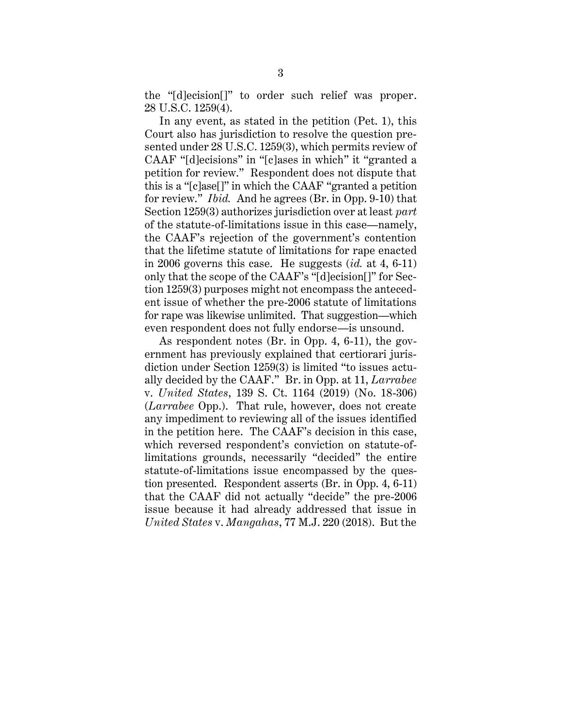the "[d]ecision[]" to order such relief was proper. 28 U.S.C. 1259(4).

In any event, as stated in the petition (Pet. 1), this Court also has jurisdiction to resolve the question presented under 28 U.S.C. 1259(3), which permits review of CAAF "[d]ecisions" in "[c]ases in which" it "granted a petition for review." Respondent does not dispute that this is a "[c]ase[]" in which the CAAF "granted a petition for review." *Ibid.* And he agrees (Br. in Opp. 9-10) that Section 1259(3) authorizes jurisdiction over at least *part*  of the statute-of-limitations issue in this case—namely, the CAAF's rejection of the government's contention that the lifetime statute of limitations for rape enacted in 2006 governs this case. He suggests (*id.* at 4, 6-11) only that the scope of the CAAF's "[d]ecision[]" for Section 1259(3) purposes might not encompass the antecedent issue of whether the pre-2006 statute of limitations for rape was likewise unlimited. That suggestion—which even respondent does not fully endorse—is unsound.

As respondent notes (Br. in Opp. 4, 6-11), the government has previously explained that certiorari jurisdiction under Section 1259(3) is limited "to issues actually decided by the CAAF." Br. in Opp. at 11, *Larrabee* v. *United States*, 139 S. Ct. 1164 (2019) (No. 18-306) (*Larrabee* Opp.). That rule, however, does not create any impediment to reviewing all of the issues identified in the petition here. The CAAF's decision in this case, which reversed respondent's conviction on statute-oflimitations grounds, necessarily "decided" the entire statute-of-limitations issue encompassed by the question presented. Respondent asserts (Br. in Opp. 4, 6-11) that the CAAF did not actually "decide" the pre-2006 issue because it had already addressed that issue in *United States* v. *Mangahas*, 77 M.J. 220 (2018). But the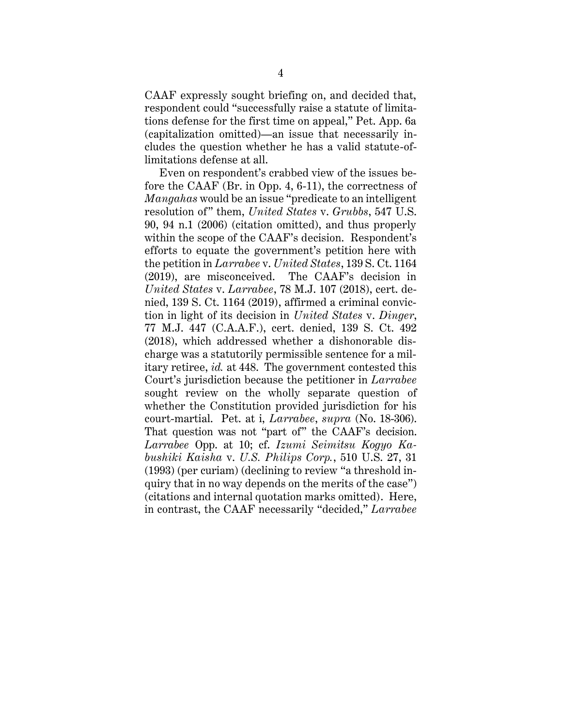CAAF expressly sought briefing on, and decided that, respondent could "successfully raise a statute of limitations defense for the first time on appeal," Pet. App. 6a (capitalization omitted)—an issue that necessarily includes the question whether he has a valid statute-oflimitations defense at all.

Even on respondent's crabbed view of the issues before the CAAF (Br. in Opp. 4, 6-11), the correctness of *Mangahas* would be an issue "predicate to an intelligent resolution of" them, *United States* v. *Grubbs*, 547 U.S. 90, 94 n.1 (2006) (citation omitted), and thus properly within the scope of the CAAF's decision. Respondent's efforts to equate the government's petition here with the petition in *Larrabee* v. *United States*, 139 S. Ct. 1164 (2019), are misconceived. The CAAF's decision in *United States* v. *Larrabee*, 78 M.J. 107 (2018), cert. denied, 139 S. Ct. 1164 (2019), affirmed a criminal conviction in light of its decision in *United States* v. *Dinger*, 77 M.J. 447 (C.A.A.F.), cert. denied, 139 S. Ct. 492 (2018), which addressed whether a dishonorable discharge was a statutorily permissible sentence for a military retiree, *id.* at 448. The government contested this Court's jurisdiction because the petitioner in *Larrabee* sought review on the wholly separate question of whether the Constitution provided jurisdiction for his court-martial. Pet. at i, *Larrabee*, *supra* (No. 18-306). That question was not "part of" the CAAF's decision. *Larrabee* Opp. at 10; cf. *Izumi Seimitsu Kogyo Kabushiki Kaisha* v. *U.S. Philips Corp.*, 510 U.S. 27, 31 (1993) (per curiam) (declining to review "a threshold inquiry that in no way depends on the merits of the case") (citations and internal quotation marks omitted). Here, in contrast, the CAAF necessarily "decided," *Larrabee*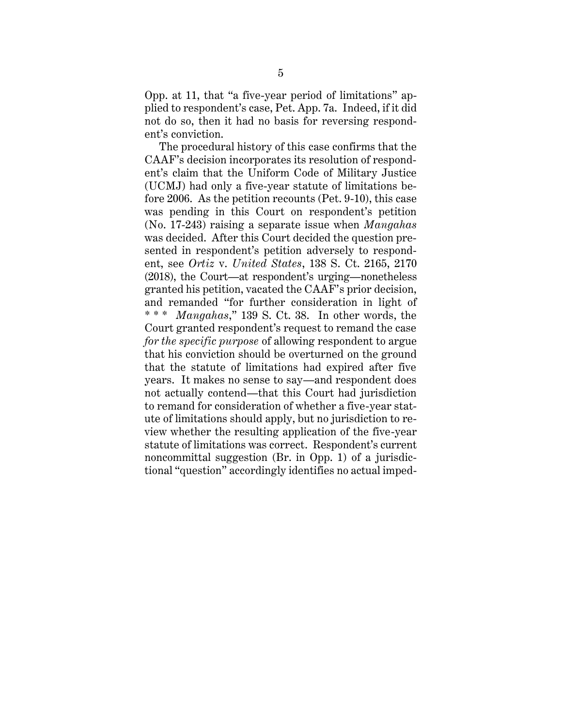Opp. at 11, that "a five-year period of limitations" applied to respondent's case, Pet. App. 7a. Indeed, if it did not do so, then it had no basis for reversing respondent's conviction.

The procedural history of this case confirms that the CAAF's decision incorporates its resolution of respondent's claim that the Uniform Code of Military Justice (UCMJ) had only a five-year statute of limitations before 2006. As the petition recounts (Pet. 9-10), this case was pending in this Court on respondent's petition (No. 17-243) raising a separate issue when *Mangahas* was decided. After this Court decided the question presented in respondent's petition adversely to respondent, see *Ortiz* v. *United States*, 138 S. Ct. 2165, 2170 (2018), the Court—at respondent's urging—nonetheless granted his petition, vacated the CAAF's prior decision, and remanded "for further consideration in light of \* \* \* *Mangahas*," 139 S. Ct. 38. In other words, the Court granted respondent's request to remand the case *for the specific purpose* of allowing respondent to argue that his conviction should be overturned on the ground that the statute of limitations had expired after five years. It makes no sense to say—and respondent does not actually contend—that this Court had jurisdiction to remand for consideration of whether a five-year statute of limitations should apply, but no jurisdiction to review whether the resulting application of the five-year statute of limitations was correct. Respondent's current noncommittal suggestion (Br. in Opp. 1) of a jurisdictional "question" accordingly identifies no actual imped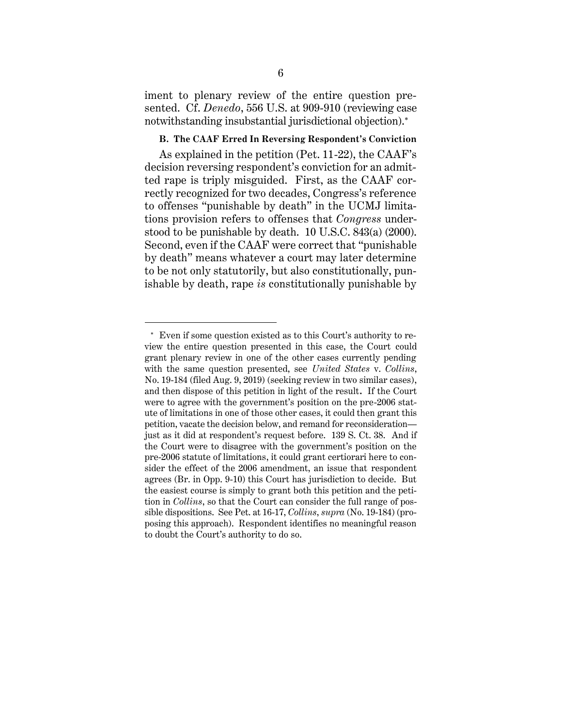iment to plenary review of the entire question presented. Cf. *Denedo*, 556 U.S. at 909-910 (reviewing case notwithstanding insubstantial jurisdictional objection).

### **B. The CAAF Erred In Reversing Respondent's Conviction**

As explained in the petition (Pet. 11-22), the CAAF's decision reversing respondent's conviction for an admitted rape is triply misguided. First, as the CAAF correctly recognized for two decades, Congress's reference to offenses "punishable by death" in the UCMJ limitations provision refers to offenses that *Congress* understood to be punishable by death. 10 U.S.C. 843(a) (2000). Second, even if the CAAF were correct that "punishable by death" means whatever a court may later determine to be not only statutorily, but also constitutionally, punishable by death, rape *is* constitutionally punishable by

 $\overline{a}$ 

Even if some question existed as to this Court's authority to review the entire question presented in this case, the Court could grant plenary review in one of the other cases currently pending with the same question presented, see *United States* v. *Collins*, No. 19-184 (filed Aug. 9, 2019) (seeking review in two similar cases), and then dispose of this petition in light of the result**.** If the Court were to agree with the government's position on the pre-2006 statute of limitations in one of those other cases, it could then grant this petition, vacate the decision below, and remand for reconsideration just as it did at respondent's request before. 139 S. Ct. 38. And if the Court were to disagree with the government's position on the pre-2006 statute of limitations, it could grant certiorari here to consider the effect of the 2006 amendment, an issue that respondent agrees (Br. in Opp. 9-10) this Court has jurisdiction to decide. But the easiest course is simply to grant both this petition and the petition in *Collins*, so that the Court can consider the full range of possible dispositions. See Pet. at 16-17, *Collins*, *supra* (No. 19-184) (proposing this approach). Respondent identifies no meaningful reason to doubt the Court's authority to do so.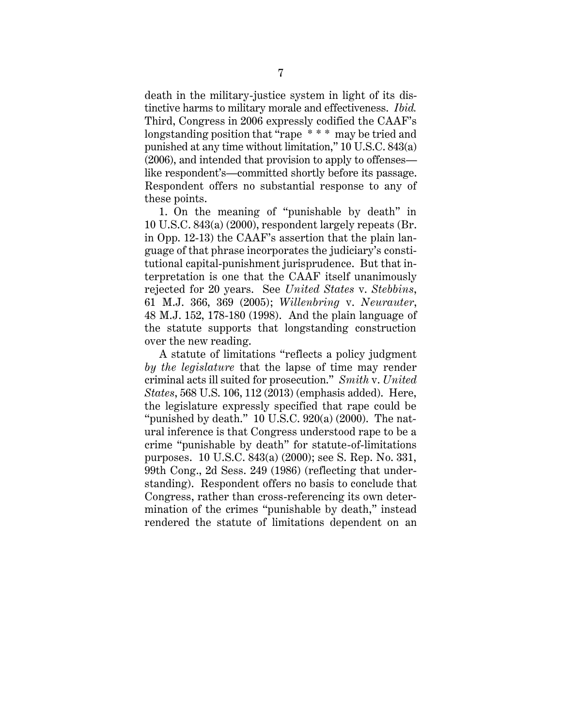death in the military-justice system in light of its distinctive harms to military morale and effectiveness. *Ibid.* Third, Congress in 2006 expressly codified the CAAF's longstanding position that "rape \* \* \* may be tried and punished at any time without limitation," 10 U.S.C. 843(a) (2006), and intended that provision to apply to offenses like respondent's—committed shortly before its passage. Respondent offers no substantial response to any of these points.

1. On the meaning of "punishable by death" in 10 U.S.C. 843(a) (2000), respondent largely repeats (Br. in Opp. 12-13) the CAAF's assertion that the plain language of that phrase incorporates the judiciary's constitutional capital-punishment jurisprudence. But that interpretation is one that the CAAF itself unanimously rejected for 20 years. See *United States* v. *Stebbins*, 61 M.J. 366, 369 (2005); *Willenbring* v. *Neurauter*, 48 M.J. 152, 178-180 (1998). And the plain language of the statute supports that longstanding construction over the new reading.

A statute of limitations "reflects a policy judgment *by the legislature* that the lapse of time may render criminal acts ill suited for prosecution." *Smith* v. *United States*, 568 U.S. 106, 112 (2013) (emphasis added). Here, the legislature expressly specified that rape could be "punished by death."  $10$  U.S.C.  $920(a)$  (2000). The natural inference is that Congress understood rape to be a crime "punishable by death" for statute-of-limitations purposes. 10 U.S.C. 843(a) (2000); see S. Rep. No. 331, 99th Cong., 2d Sess. 249 (1986) (reflecting that understanding). Respondent offers no basis to conclude that Congress, rather than cross-referencing its own determination of the crimes "punishable by death," instead rendered the statute of limitations dependent on an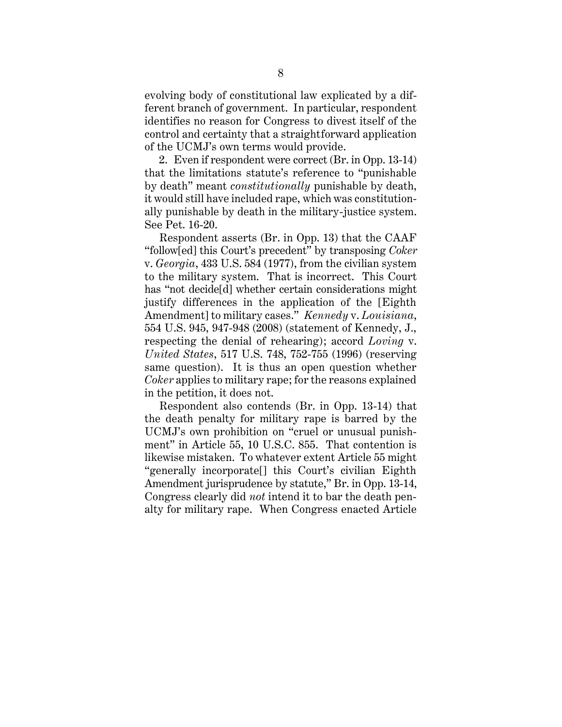evolving body of constitutional law explicated by a different branch of government. In particular, respondent identifies no reason for Congress to divest itself of the control and certainty that a straightforward application of the UCMJ's own terms would provide.

2. Even if respondent were correct (Br. in Opp. 13-14) that the limitations statute's reference to "punishable by death" meant *constitutionally* punishable by death, it would still have included rape, which was constitutionally punishable by death in the military-justice system. See Pet. 16-20.

Respondent asserts (Br. in Opp. 13) that the CAAF "follow[ed] this Court's precedent" by transposing *Coker* v. *Georgia*, 433 U.S. 584 (1977), from the civilian system to the military system. That is incorrect. This Court has "not decide[d] whether certain considerations might justify differences in the application of the [Eighth Amendment] to military cases." *Kennedy* v. *Louisiana*, 554 U.S. 945, 947-948 (2008) (statement of Kennedy, J., respecting the denial of rehearing); accord *Loving* v. *United States*, 517 U.S. 748, 752-755 (1996) (reserving same question). It is thus an open question whether *Coker* applies to military rape; for the reasons explained in the petition, it does not.

Respondent also contends (Br. in Opp. 13-14) that the death penalty for military rape is barred by the UCMJ's own prohibition on "cruel or unusual punishment" in Article 55, 10 U.S.C. 855. That contention is likewise mistaken. To whatever extent Article 55 might "generally incorporate[] this Court's civilian Eighth Amendment jurisprudence by statute," Br. in Opp. 13-14, Congress clearly did *not* intend it to bar the death penalty for military rape. When Congress enacted Article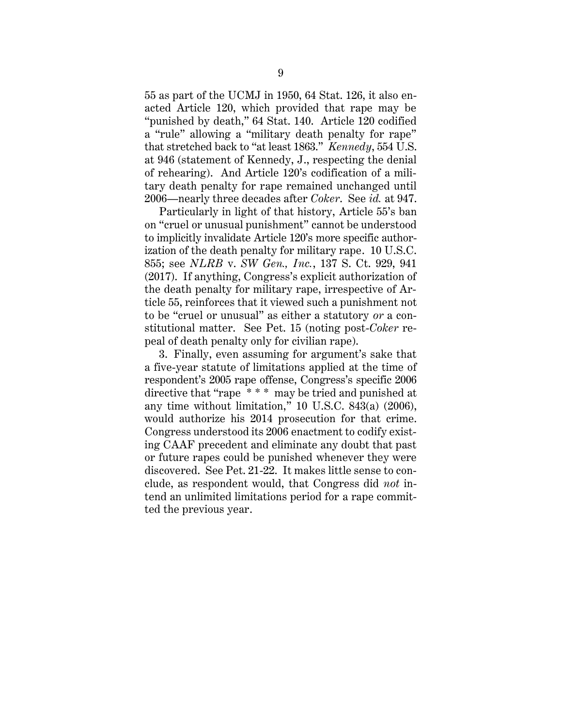55 as part of the UCMJ in 1950, 64 Stat. 126, it also enacted Article 120, which provided that rape may be "punished by death," 64 Stat. 140. Article 120 codified a "rule" allowing a "military death penalty for rape" that stretched back to "at least 1863." *Kennedy*, 554 U.S. at 946 (statement of Kennedy, J., respecting the denial of rehearing). And Article 120's codification of a military death penalty for rape remained unchanged until 2006—nearly three decades after *Coker*. See *id.* at 947.

Particularly in light of that history, Article 55's ban on "cruel or unusual punishment" cannot be understood to implicitly invalidate Article 120's more specific authorization of the death penalty for military rape. 10 U.S.C. 855; see *NLRB* v. *SW Gen., Inc.*, 137 S. Ct. 929, 941 (2017). If anything, Congress's explicit authorization of the death penalty for military rape, irrespective of Article 55, reinforces that it viewed such a punishment not to be "cruel or unusual" as either a statutory *or* a constitutional matter. See Pet. 15 (noting post-*Coker* repeal of death penalty only for civilian rape).

3. Finally, even assuming for argument's sake that a five-year statute of limitations applied at the time of respondent's 2005 rape offense, Congress's specific 2006 directive that "rape \* \* \* may be tried and punished at any time without limitation," 10 U.S.C. 843(a) (2006), would authorize his 2014 prosecution for that crime. Congress understood its 2006 enactment to codify existing CAAF precedent and eliminate any doubt that past or future rapes could be punished whenever they were discovered. See Pet. 21-22. It makes little sense to conclude, as respondent would, that Congress did *not* intend an unlimited limitations period for a rape committed the previous year.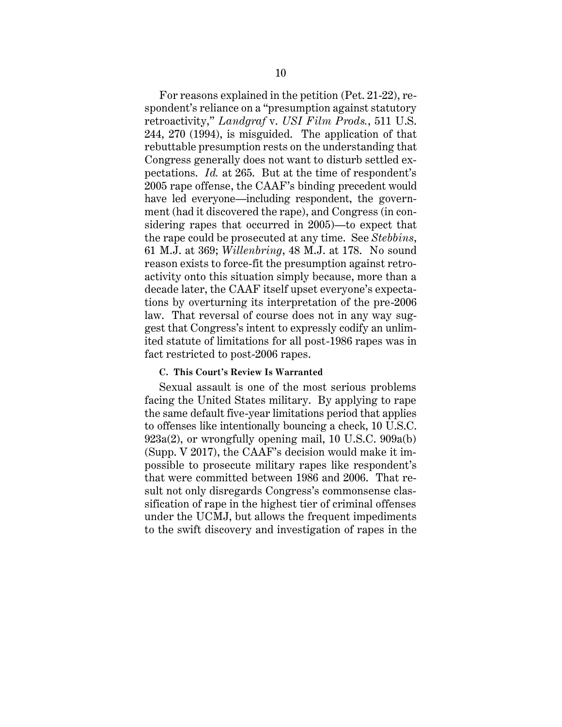For reasons explained in the petition (Pet. 21-22), respondent's reliance on a "presumption against statutory retroactivity," *Landgraf* v. *USI Film Prods.*, 511 U.S. 244, 270 (1994), is misguided. The application of that rebuttable presumption rests on the understanding that Congress generally does not want to disturb settled expectations. *Id.* at 265. But at the time of respondent's 2005 rape offense, the CAAF's binding precedent would have led everyone—including respondent, the government (had it discovered the rape), and Congress (in considering rapes that occurred in 2005)—to expect that the rape could be prosecuted at any time. See *Stebbins*, 61 M.J. at 369; *Willenbring*, 48 M.J. at 178. No sound reason exists to force-fit the presumption against retroactivity onto this situation simply because, more than a decade later, the CAAF itself upset everyone's expectations by overturning its interpretation of the pre-2006 law. That reversal of course does not in any way suggest that Congress's intent to expressly codify an unlimited statute of limitations for all post-1986 rapes was in fact restricted to post-2006 rapes.

### **C. This Court's Review Is Warranted**

Sexual assault is one of the most serious problems facing the United States military. By applying to rape the same default five-year limitations period that applies to offenses like intentionally bouncing a check, 10 U.S.C. 923a(2), or wrongfully opening mail, 10 U.S.C. 909a(b) (Supp. V 2017), the CAAF's decision would make it impossible to prosecute military rapes like respondent's that were committed between 1986 and 2006. That result not only disregards Congress's commonsense classification of rape in the highest tier of criminal offenses under the UCMJ, but allows the frequent impediments to the swift discovery and investigation of rapes in the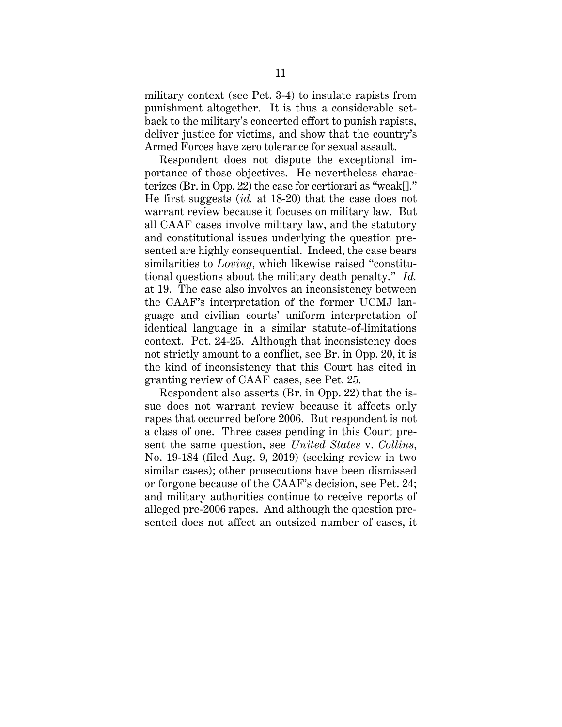military context (see Pet. 3-4) to insulate rapists from punishment altogether. It is thus a considerable setback to the military's concerted effort to punish rapists, deliver justice for victims, and show that the country's Armed Forces have zero tolerance for sexual assault.

Respondent does not dispute the exceptional importance of those objectives. He nevertheless characterizes (Br. in Opp. 22) the case for certiorari as "weak[]." He first suggests (*id.* at 18-20) that the case does not warrant review because it focuses on military law. But all CAAF cases involve military law, and the statutory and constitutional issues underlying the question presented are highly consequential. Indeed, the case bears similarities to *Loving*, which likewise raised "constitutional questions about the military death penalty." *Id.* at 19. The case also involves an inconsistency between the CAAF's interpretation of the former UCMJ language and civilian courts' uniform interpretation of identical language in a similar statute-of-limitations context. Pet. 24-25. Although that inconsistency does not strictly amount to a conflict, see Br. in Opp. 20, it is the kind of inconsistency that this Court has cited in granting review of CAAF cases, see Pet. 25.

Respondent also asserts (Br. in Opp. 22) that the issue does not warrant review because it affects only rapes that occurred before 2006. But respondent is not a class of one. Three cases pending in this Court present the same question, see *United States* v. *Collins*, No. 19-184 (filed Aug. 9, 2019) (seeking review in two similar cases); other prosecutions have been dismissed or forgone because of the CAAF's decision, see Pet. 24; and military authorities continue to receive reports of alleged pre-2006 rapes. And although the question presented does not affect an outsized number of cases, it